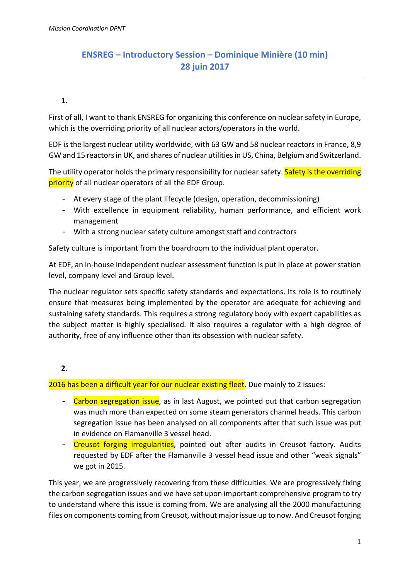## **ENSREG – Introductory Session – Dominique Minière (10 min) 28 juin 2017**

## **1.**

First of all, I want to thank ENSREG for organizing this conference on nuclear safety in Europe, which is the overriding priority of all nuclear actors/operators in the world.

EDF is the largest nuclear utility worldwide, with 63 GW and 58 nuclear reactors in France, 8,9 GW and 15 reactorsin UK, and shares of nuclear utilitiesin US, China, Belgium and Switzerland.

The utility operator holds the primary responsibility for nuclear safety. Safety is the overriding priority of all nuclear operators of all the EDF Group.

- At every stage of the plant lifecycle (design, operation, decommissioning)
- With excellence in equipment reliability, human performance, and efficient work management
- With a strong nuclear safety culture amongst staff and contractors

Safety culture is important from the boardroom to the individual plant operator.

At EDF, an in‐house independent nuclear assessment function is put in place at power station level, company level and Group level.

The nuclear regulator sets specific safety standards and expectations. Its role is to routinely ensure that measures being implemented by the operator are adequate for achieving and sustaining safety standards. This requires a strong regulatory body with expert capabilities as the subject matter is highly specialised. It also requires a regulator with a high degree of authority, free of any influence other than its obsession with nuclear safety.

## **2.**

2016 has been a difficult year for our nuclear existing fleet. Due mainly to 2 issues:

- Carbon segregation issue, as in last August, we pointed out that carbon segregation was much more than expected on some steam generators channel heads. This carbon segregation issue has been analysed on all components after that such issue was put in evidence on Flamanville 3 vessel head.
- Creusot forging irregularities, pointed out after audits in Creusot factory. Audits requested by EDF after the Flamanville 3 vessel head issue and other "weak signals" we got in 2015.

This year, we are progressively recovering from these difficulties. We are progressively fixing the carbon segregation issues and we have set upon important comprehensive program to try to understand where this issue is coming from. We are analysing all the 2000 manufacturing files on components coming from Creusot, without major issue up to now. And Creusot forging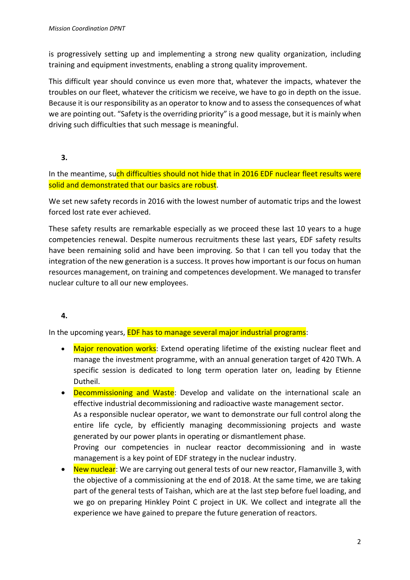is progressively setting up and implementing a strong new quality organization, including training and equipment investments, enabling a strong quality improvement.

This difficult year should convince us even more that, whatever the impacts, whatever the troubles on our fleet, whatever the criticism we receive, we have to go in depth on the issue. Because it is our responsibility as an operator to know and to assessthe consequences of what we are pointing out. "Safety is the overriding priority" is a good message, but it is mainly when driving such difficulties that such message is meaningful.

**3.**

In the meantime, such difficulties should not hide that in 2016 EDF nuclear fleet results were solid and demonstrated that our basics are robust.

We set new safety records in 2016 with the lowest number of automatic trips and the lowest forced lost rate ever achieved.

These safety results are remarkable especially as we proceed these last 10 years to a huge competencies renewal. Despite numerous recruitments these last years, EDF safety results have been remaining solid and have been improving. So that I can tell you today that the integration of the new generation is a success. It proves how important is our focus on human resources management, on training and competences development. We managed to transfer nuclear culture to all our new employees.

## **4.**

In the upcoming years, EDF has to manage several major industrial programs:

- Major renovation works: Extend operating lifetime of the existing nuclear fleet and manage the investment programme, with an annual generation target of 420 TWh. A specific session is dedicated to long term operation later on, leading by Etienne Dutheil.
- Decommissioning and Waste: Develop and validate on the international scale an effective industrial decommissioning and radioactive waste management sector. As a responsible nuclear operator, we want to demonstrate our full control along the entire life cycle, by efficiently managing decommissioning projects and waste generated by our power plants in operating or dismantlement phase. Proving our competencies in nuclear reactor decommissioning and in waste management is a key point of EDF strategy in the nuclear industry.
- New nuclear: We are carrying out general tests of our new reactor, Flamanville 3, with the objective of a commissioning at the end of 2018. At the same time, we are taking part of the general tests of Taishan, which are at the last step before fuel loading, and we go on preparing Hinkley Point C project in UK. We collect and integrate all the experience we have gained to prepare the future generation of reactors.